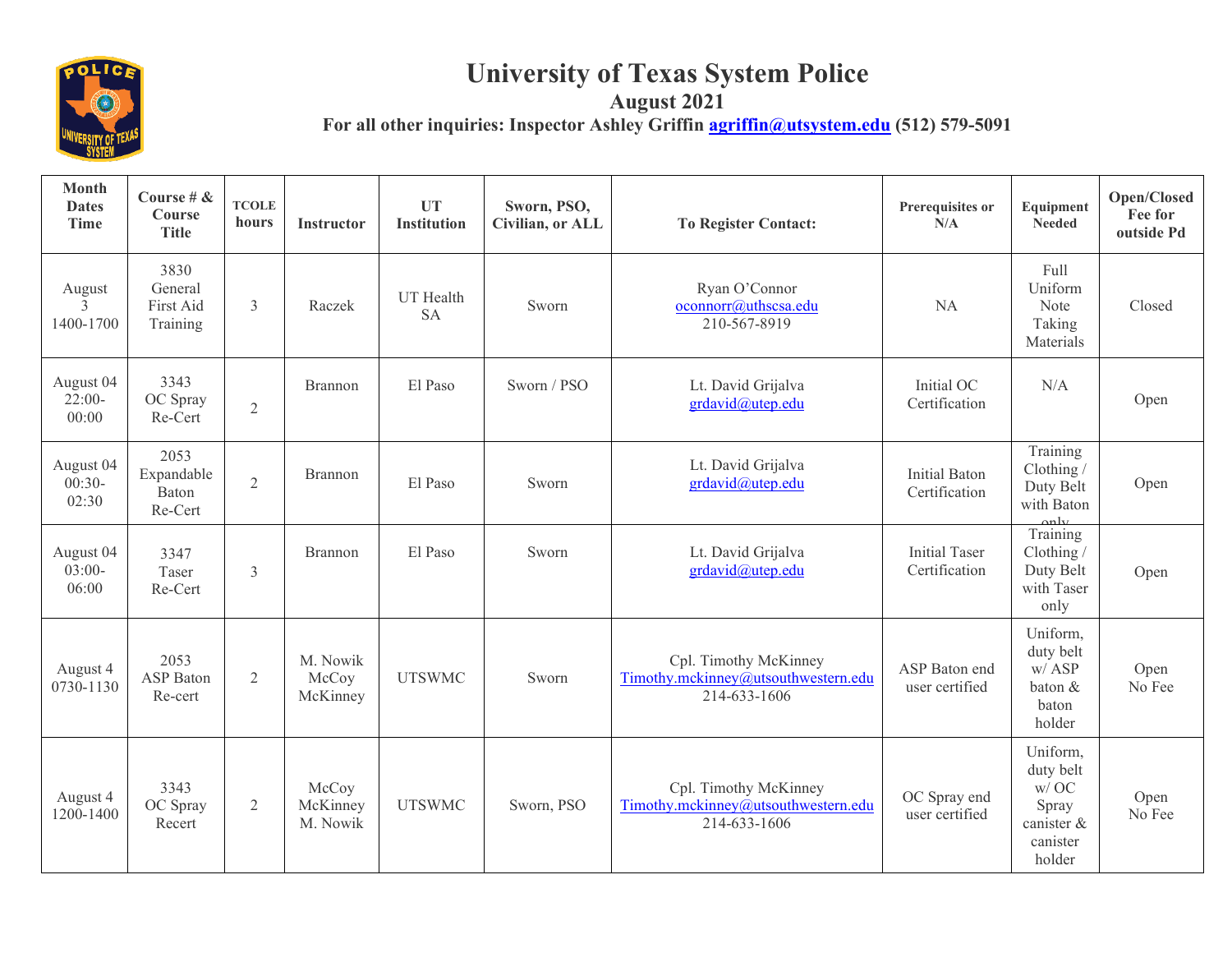

## **University of Texas System Police**

**August 2021**

For all other inquiries: Inspector Ashley Griffin **agriffin autous** (512) 579-5091

| <b>Month</b><br><b>Dates</b><br><b>Time</b> | Course # $\&$<br>Course<br><b>Title</b>  | <b>TCOLE</b><br>hours | <b>Instructor</b>             | <b>UT</b><br><b>Institution</b> | Sworn, PSO,<br>Civilian, or ALL | <b>To Register Contact:</b>                                                  | Prerequisites or<br>N/A               | Equipment<br>Needed                                                        | Open/Closed<br>Fee for<br>outside Pd |
|---------------------------------------------|------------------------------------------|-----------------------|-------------------------------|---------------------------------|---------------------------------|------------------------------------------------------------------------------|---------------------------------------|----------------------------------------------------------------------------|--------------------------------------|
| August<br>3<br>1400-1700                    | 3830<br>General<br>First Aid<br>Training | 3                     | Raczek                        | UT Health<br><b>SA</b>          | Sworn                           | Ryan O'Connor<br>oconnorr@uthscsa.edu<br>210-567-8919                        | <b>NA</b>                             | Full<br>Uniform<br>Note<br>Taking<br>Materials                             | Closed                               |
| August 04<br>$22:00-$<br>00:00              | 3343<br>OC Spray<br>Re-Cert              | $\overline{2}$        | Brannon                       | El Paso                         | Sworn / PSO                     | Lt. David Grijalva<br>grdavid@utep.edu                                       | Initial OC<br>Certification           | N/A                                                                        | Open                                 |
| August 04<br>$00:30-$<br>02:30              | 2053<br>Expandable<br>Baton<br>Re-Cert   | $\overline{2}$        | <b>Brannon</b>                | El Paso                         | Sworn                           | Lt. David Grijalva<br>grdavid@utep.edu                                       | <b>Initial Baton</b><br>Certification | Training<br>Clothing /<br>Duty Belt<br>with Baton<br>anly                  | Open                                 |
| August 04<br>$03:00-$<br>06:00              | 3347<br>Taser<br>Re-Cert                 | 3                     | Brannon                       | El Paso                         | Sworn                           | Lt. David Grijalva<br>grdavid@utep.edu                                       | <b>Initial Taser</b><br>Certification | Training<br>Clothing /<br>Duty Belt<br>with Taser<br>only                  | Open                                 |
| August 4<br>0730-1130                       | 2053<br><b>ASP</b> Baton<br>Re-cert      | $\overline{2}$        | M. Nowik<br>McCoy<br>McKinney | <b>UTSWMC</b>                   | Sworn                           | Cpl. Timothy McKinney<br>Timothy.mckinney@utsouthwestern.edu<br>214-633-1606 | ASP Baton end<br>user certified       | Uniform,<br>duty belt<br>$w/$ ASP<br>baton &<br>baton<br>holder            | Open<br>No Fee                       |
| August 4<br>1200-1400                       | 3343<br>OC Spray<br>Recert               | 2                     | McCoy<br>McKinney<br>M. Nowik | <b>UTSWMC</b>                   | Sworn, PSO                      | Cpl. Timothy McKinney<br>Timothy.mckinney@utsouthwestern.edu<br>214-633-1606 | OC Spray end<br>user certified        | Uniform,<br>duty belt<br>w/OC<br>Spray<br>canister &<br>canister<br>holder | Open<br>No Fee                       |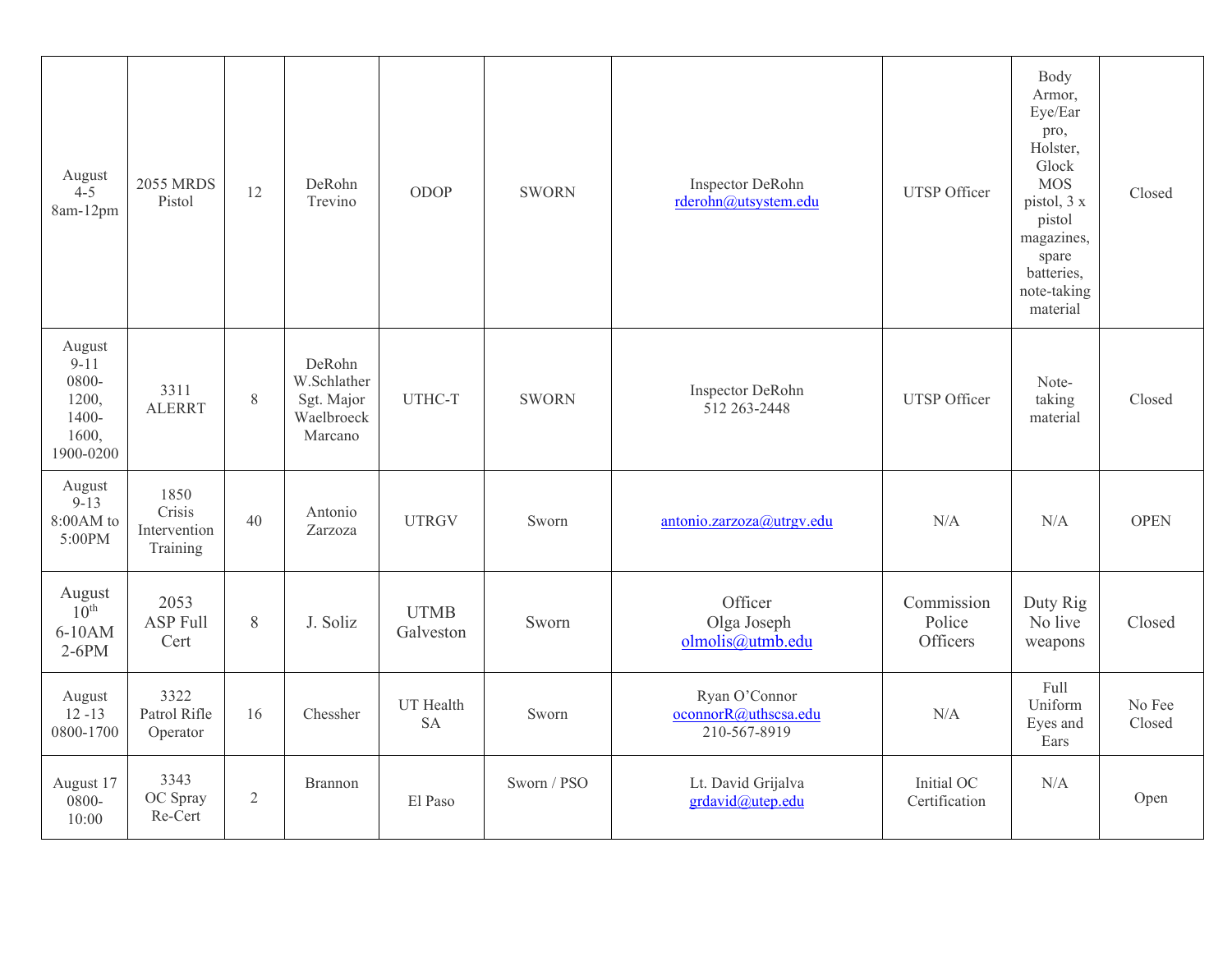| August<br>$4 - 5$<br>8am-12pm                                          | <b>2055 MRDS</b><br>Pistol                 | 12    | DeRohn<br>Trevino                                            | <b>ODOP</b>              | <b>SWORN</b> | Inspector DeRohn<br>rderohn@utsystem.edu              | <b>UTSP</b> Officer              | Body<br>Armor,<br>Eye/Ear<br>pro,<br>Holster,<br>Glock<br><b>MOS</b><br>pistol, 3 x<br>pistol<br>magazines,<br>spare<br>batteries,<br>note-taking<br>material | Closed           |
|------------------------------------------------------------------------|--------------------------------------------|-------|--------------------------------------------------------------|--------------------------|--------------|-------------------------------------------------------|----------------------------------|---------------------------------------------------------------------------------------------------------------------------------------------------------------|------------------|
| August<br>$9 - 11$<br>0800-<br>1200,<br>$1400 -$<br>1600,<br>1900-0200 | 3311<br><b>ALERRT</b>                      | $8\,$ | DeRohn<br>W.Schlather<br>Sgt. Major<br>Waelbroeck<br>Marcano | UTHC-T                   | <b>SWORN</b> | Inspector DeRohn<br>512 263 - 2448                    | <b>UTSP</b> Officer              | Note-<br>taking<br>material                                                                                                                                   | Closed           |
| August<br>$9 - 13$<br>8:00AM to<br>5:00PM                              | 1850<br>Crisis<br>Intervention<br>Training | 40    | Antonio<br>Zarzoza                                           | <b>UTRGV</b>             | Sworn        | antonio.zarzoza@utrgv.edu                             | N/A                              | N/A                                                                                                                                                           | <b>OPEN</b>      |
| August<br>$10^{\text{th}}$<br>6-10AM<br>$2-6PM$                        | 2053<br><b>ASP Full</b><br>Cert            | 8     | J. Soliz                                                     | <b>UTMB</b><br>Galveston | Sworn        | Officer<br>Olga Joseph<br>olmolis@utmb.edu            | Commission<br>Police<br>Officers | Duty Rig<br>No live<br>weapons                                                                                                                                | Closed           |
| August<br>$12 - 13$<br>0800-1700                                       | 3322<br>Patrol Rifle<br>Operator           | 16    | Chessher                                                     | UT Health<br><b>SA</b>   | Sworn        | Ryan O'Connor<br>oconnorR@uthscsa.edu<br>210-567-8919 | N/A                              | Full<br>Uniform<br>Eyes and<br>Ears                                                                                                                           | No Fee<br>Closed |
| August 17<br>0800-<br>10:00                                            | 3343<br>OC Spray<br>Re-Cert                | 2     | Brannon                                                      | El Paso                  | Sworn / PSO  | Lt. David Grijalva<br>grdavid@utep.edu                | Initial OC<br>Certification      | N/A                                                                                                                                                           | Open             |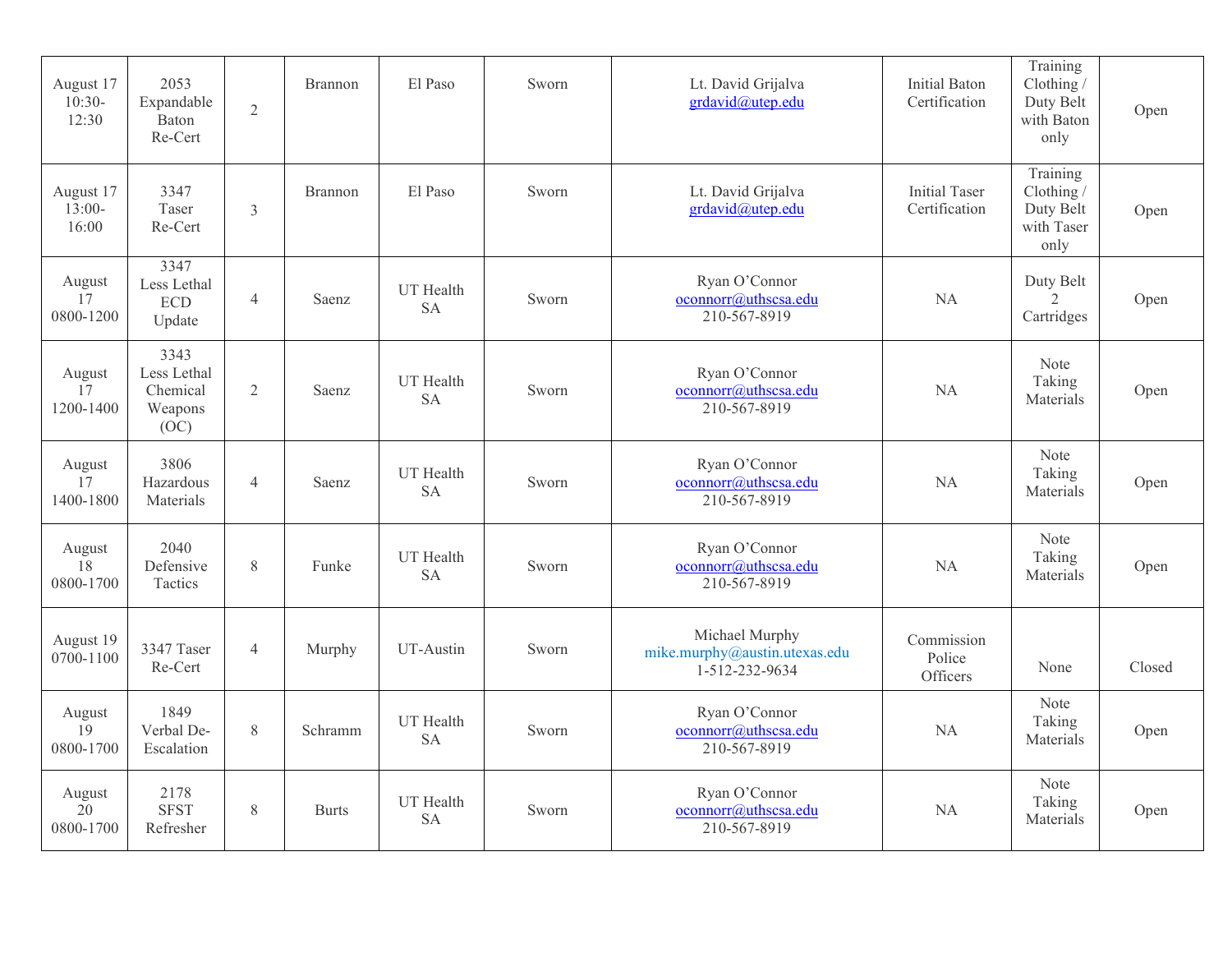| August 17<br>$10:30-$<br>12:30 | 2053<br>Expandable<br>Baton<br>Re-Cert             | $\overline{2}$ | <b>Brannon</b> | El Paso                | Sworn | Lt. David Grijalva<br>grdavid@utep.edu                            | <b>Initial Baton</b><br>Certification | Training<br>Clothing /<br>Duty Belt<br>with Baton<br>only   | Open   |
|--------------------------------|----------------------------------------------------|----------------|----------------|------------------------|-------|-------------------------------------------------------------------|---------------------------------------|-------------------------------------------------------------|--------|
| August 17<br>$13:00-$<br>16:00 | 3347<br>Taser<br>Re-Cert                           | 3              | <b>Brannon</b> | El Paso                | Sworn | Lt. David Grijalva<br>grdavid@utep.edu                            | <b>Initial Taser</b><br>Certification | Training<br>Clothing $/$<br>Duty Belt<br>with Taser<br>only | Open   |
| August<br>17<br>0800-1200      | 3347<br>Less Lethal<br><b>ECD</b><br>Update        | $\overline{4}$ | Saenz          | UT Health<br><b>SA</b> | Sworn | Ryan O'Connor<br>oconnorr@uthscsa.edu<br>210-567-8919             | NA                                    | Duty Belt<br>$\frac{2}{3}$<br>Cartridges                    | Open   |
| August<br>17<br>1200-1400      | 3343<br>Less Lethal<br>Chemical<br>Weapons<br>(OC) | $\overline{2}$ | Saenz          | UT Health<br><b>SA</b> | Sworn | Ryan O'Connor<br>oconnorr@uthscsa.edu<br>210-567-8919             | NA                                    | Note<br>Taking<br>Materials                                 | Open   |
| August<br>17<br>1400-1800      | 3806<br>Hazardous<br>Materials                     | $\overline{4}$ | Saenz          | UT Health<br><b>SA</b> | Sworn | Ryan O'Connor<br>oconnorr@uthscsa.edu<br>210-567-8919             | <b>NA</b>                             | Note<br>Taking<br>Materials                                 | Open   |
| August<br>18<br>0800-1700      | 2040<br>Defensive<br>Tactics                       | 8              | Funke          | UT Health<br><b>SA</b> | Sworn | Ryan O'Connor<br>oconnorr@uthscsa.edu<br>210-567-8919             | <b>NA</b>                             | Note<br>Taking<br>Materials                                 | Open   |
| August 19<br>0700-1100         | 3347 Taser<br>Re-Cert                              | $\overline{4}$ | Murphy         | UT-Austin              | Sworn | Michael Murphy<br>mike.murphy@austin.utexas.edu<br>1-512-232-9634 | Commission<br>Police<br>Officers      | None                                                        | Closed |
| August<br>19<br>0800-1700      | 1849<br>Verbal De-<br>Escalation                   | 8              | Schramm        | UT Health<br><b>SA</b> | Sworn | Ryan O'Connor<br>oconnorr@uthscsa.edu<br>210-567-8919             | NA                                    | Note<br>Taking<br>Materials                                 | Open   |
| August<br>20<br>0800-1700      | 2178<br><b>SFST</b><br>Refresher                   | $8\,$          | <b>Burts</b>   | UT Health<br><b>SA</b> | Sworn | Ryan O'Connor<br>oconnorr@uthscsa.edu<br>210-567-8919             | NA                                    | Note<br>Taking<br>Materials                                 | Open   |